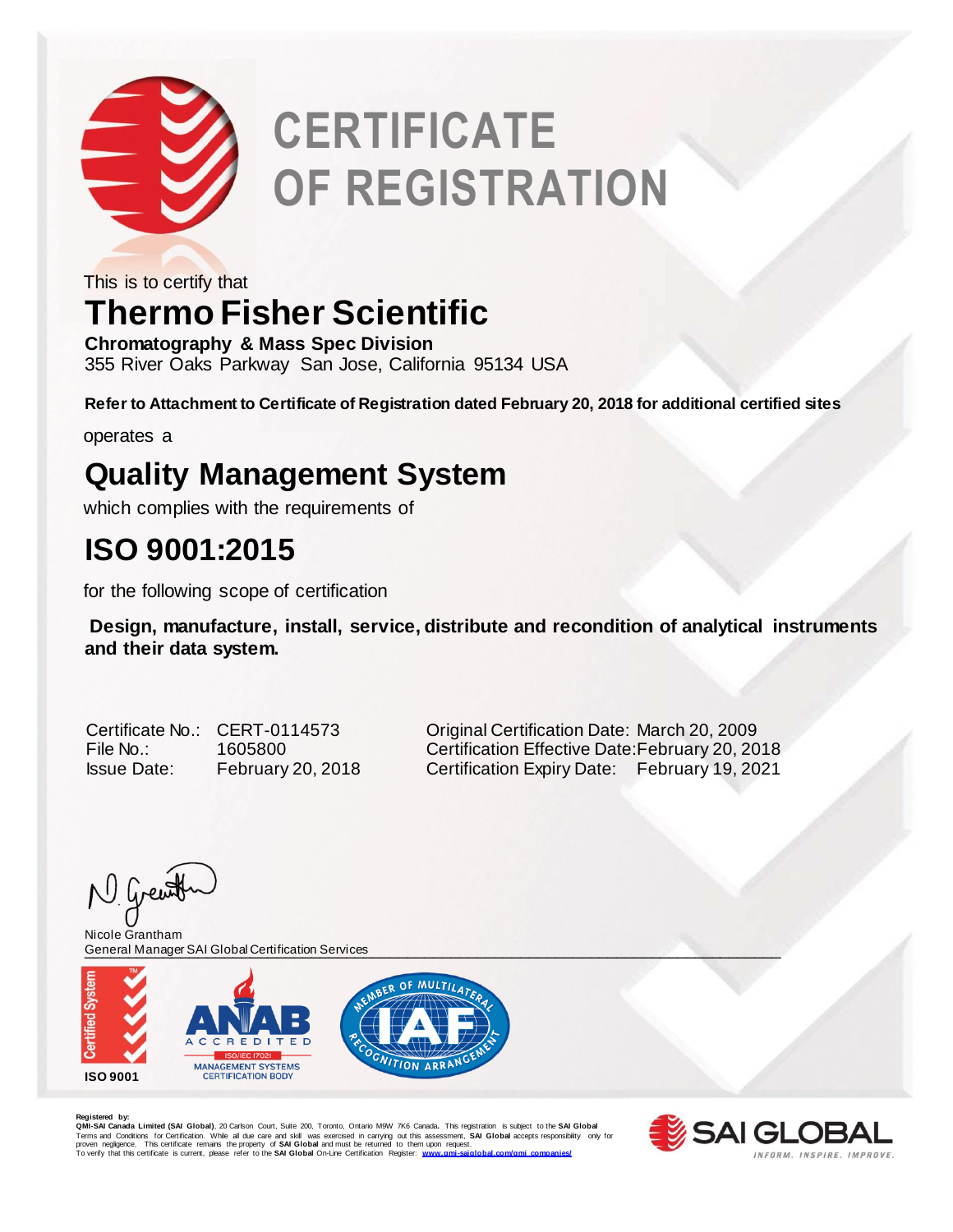

# **CERTIFICATE OF REGISTRATION**

This is to certify that

### **Thermo Fisher Scientific**

**Chromatography & Mass Spec Division** 355 River Oaks Parkway San Jose, California 95134 USA

**Refer to Attachment to Certificate of Registration dated February 20, 2018 for additional certified sites**

operates a

### **Quality Management System**

which complies with the requirements of

#### **ISO 9001:2015**

for the following scope of certification

**Design, manufacture, install, service, distribute and recondition of analytical instruments and their data system.** 

Certificate No.: CERT-0114573 Original Certification Date: March 20, 2009 File No.: 1605800 Certification Effective Date:February 20, 2018 Issue Date: February 20, 2018 Certification Expiry Date: February 19, 2021

N Grewith

\_\_\_\_\_\_\_\_\_\_\_\_\_\_\_\_\_\_\_\_\_\_\_\_\_\_\_\_\_\_\_\_\_\_\_\_\_\_\_\_\_\_\_\_\_\_\_\_\_\_\_\_\_\_\_\_\_\_\_\_\_\_\_\_\_\_\_\_\_\_\_\_\_\_\_\_\_\_\_\_ General Manager SAI Global Certification ServicesNicole Grantham



**Registered by: QMI-SAI Canada Limited (SAI Global)**, 20 Carlson Court, Suite 200, Toronto, Ontario M9W 7K6 Canada**.** This registration is subject to the **SAI Global**  Terms and Conditions for Certification. While all due care and skill was exercised in carrying out this assessment, **SAI Global** accepts responsibility only for<br>proven negligence. This certificate remains the property of